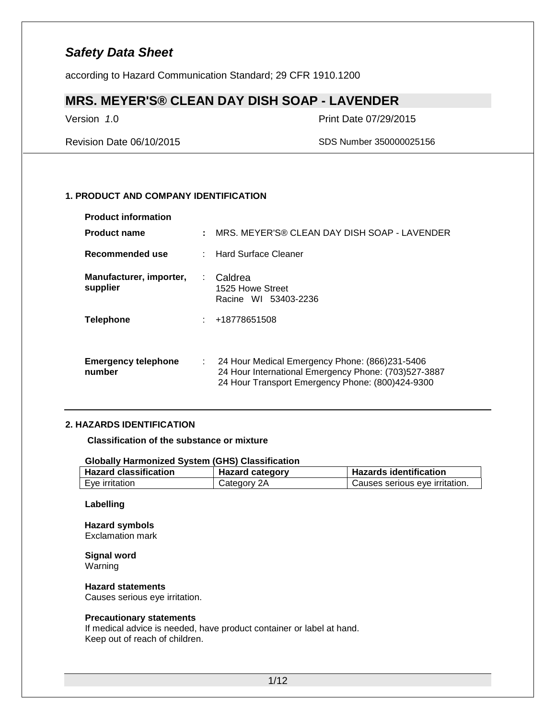according to Hazard Communication Standard; 29 CFR 1910.1200

### **MRS. MEYER'S® CLEAN DAY DISH SOAP - LAVENDER**

Version *1*.0 Print Date 07/29/2015

Revision Date 06/10/2015 SDS Number 350000025156

### **1. PRODUCT AND COMPANY IDENTIFICATION**

| <b>Product information</b>           |    |                                                                                                                                                            |
|--------------------------------------|----|------------------------------------------------------------------------------------------------------------------------------------------------------------|
| <b>Product name</b>                  | ÷  | MRS. MEYER'S® CLEAN DAY DISH SOAP - LAVENDER                                                                                                               |
| Recommended use                      |    | <b>Hard Surface Cleaner</b>                                                                                                                                |
| Manufacturer, importer,<br>supplier  | ÷. | Caldrea<br>1525 Howe Street<br>Racine WI 53403-2236                                                                                                        |
| <b>Telephone</b>                     |    | +18778651508                                                                                                                                               |
| <b>Emergency telephone</b><br>number | ÷  | 24 Hour Medical Emergency Phone: (866)231-5406<br>24 Hour International Emergency Phone: (703)527-3887<br>24 Hour Transport Emergency Phone: (800)424-9300 |

### **2. HAZARDS IDENTIFICATION**

**Classification of the substance or mixture**

#### **Globally Harmonized System (GHS) Classification**

| <b>Hazard classification</b> | <b>Hazard category</b> | <b>Hazards identification</b>  |
|------------------------------|------------------------|--------------------------------|
| Eve irritation               | Category 2A            | Causes serious eye irritation. |

### **Labelling**

#### **Hazard symbols** Exclamation mark

**Signal word** Warning

#### **Hazard statements** Causes serious eye irritation.

#### **Precautionary statements**

If medical advice is needed, have product container or label at hand. Keep out of reach of children.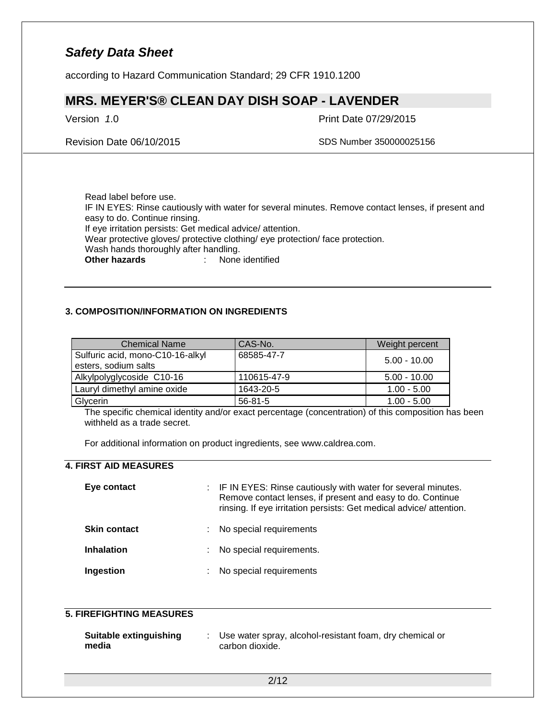according to Hazard Communication Standard; 29 CFR 1910.1200

### **MRS. MEYER'S® CLEAN DAY DISH SOAP - LAVENDER**

Version *1*.0 Print Date 07/29/2015

Revision Date 06/10/2015 SDS Number 350000025156

Read label before use. IF IN EYES: Rinse cautiously with water for several minutes. Remove contact lenses, if present and easy to do. Continue rinsing. If eye irritation persists: Get medical advice/ attention. Wear protective gloves/ protective clothing/ eye protection/ face protection. Wash hands thoroughly after handling.<br>Other hazards : None **Other hazards** : None identified

### **3. COMPOSITION/INFORMATION ON INGREDIENTS**

| <b>Chemical Name</b>                                     | CAS-No.       | Weight percent |
|----------------------------------------------------------|---------------|----------------|
| Sulfuric acid, mono-C10-16-alkyl<br>esters, sodium salts | 68585-47-7    | $5.00 - 10.00$ |
| Alkylpolyglycoside C10-16                                | 110615-47-9   | $5.00 - 10.00$ |
| Lauryl dimethyl amine oxide                              | 1643-20-5     | $1.00 - 5.00$  |
| Glycerin                                                 | $56 - 81 - 5$ | $1.00 - 5.00$  |

The specific chemical identity and/or exact percentage (concentration) of this composition has been withheld as a trade secret.

For additional information on product ingredients, see www.caldrea.com.

### **4. FIRST AID MEASURES**

| Eye contact         |    | : IF IN EYES: Rinse cautiously with water for several minutes.<br>Remove contact lenses, if present and easy to do. Continue<br>rinsing. If eye irritation persists: Get medical advice/attention. |
|---------------------|----|----------------------------------------------------------------------------------------------------------------------------------------------------------------------------------------------------|
| <b>Skin contact</b> | ÷. | No special requirements                                                                                                                                                                            |
| <b>Inhalation</b>   | ÷. | No special requirements.                                                                                                                                                                           |
| Ingestion           | ÷. | No special requirements                                                                                                                                                                            |

### **5. FIREFIGHTING MEASURES**

| Suitable extinguishing | Use water spray, alcohol-resistant foam, dry chemical or |
|------------------------|----------------------------------------------------------|
| media                  | carbon dioxide.                                          |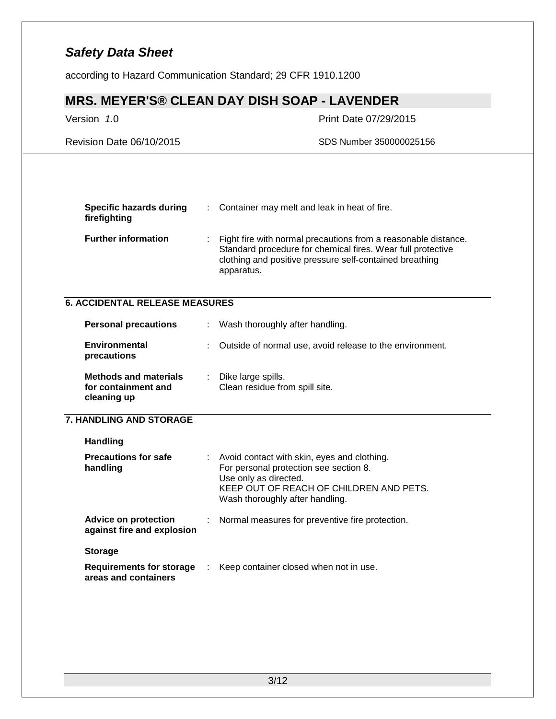according to Hazard Communication Standard; 29 CFR 1910.1200

# **MRS. MEYER'S® CLEAN DAY DISH SOAP - LAVENDER**

### Version *1*.0 Print Date 07/29/2015

Revision Date 06/10/2015 SDS Number 350000025156

| Specific hazards during<br>firefighting | : Container may melt and leak in heat of fire.                                                                                                                                                           |
|-----------------------------------------|----------------------------------------------------------------------------------------------------------------------------------------------------------------------------------------------------------|
| <b>Further information</b>              | : Fight fire with normal precautions from a reasonable distance.<br>Standard procedure for chemical fires. Wear full protective<br>clothing and positive pressure self-contained breathing<br>apparatus. |

### **6. ACCIDENTAL RELEASE MEASURES**

| <b>Personal precautions</b>                                        |    | : Wash thoroughly after handling.                        |
|--------------------------------------------------------------------|----|----------------------------------------------------------|
| <b>Environmental</b><br>precautions                                | ÷. | Outside of normal use, avoid release to the environment. |
| <b>Methods and materials</b><br>for containment and<br>cleaning up |    | : Dike large spills.<br>Clean residue from spill site.   |

### **7. HANDLING AND STORAGE**

| <b>Handling</b><br><b>Precautions for safe</b><br>handling | Avoid contact with skin, eyes and clothing.<br>For personal protection see section 8.<br>Use only as directed.<br>KEEP OUT OF REACH OF CHILDREN AND PETS.<br>Wash thoroughly after handling. |
|------------------------------------------------------------|----------------------------------------------------------------------------------------------------------------------------------------------------------------------------------------------|
| Advice on protection<br>against fire and explosion         | : Normal measures for preventive fire protection.                                                                                                                                            |
| <b>Storage</b>                                             |                                                                                                                                                                                              |
| Requirements for storage<br>areas and containers           | : Keep container closed when not in use.                                                                                                                                                     |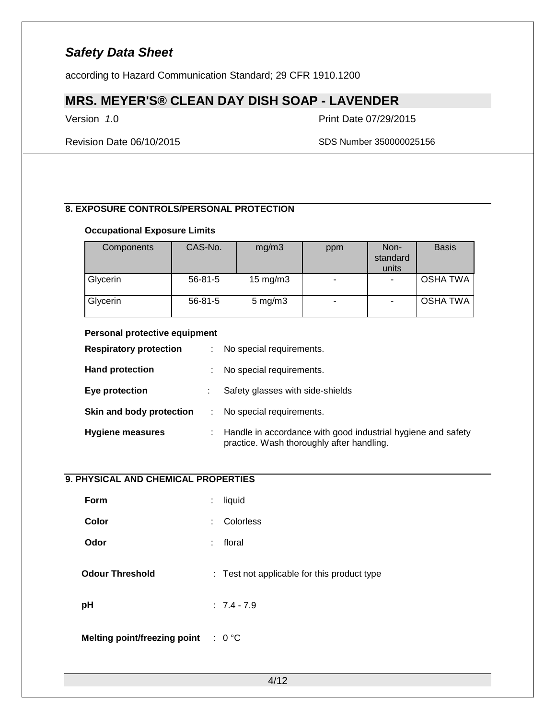according to Hazard Communication Standard; 29 CFR 1910.1200

# **MRS. MEYER'S® CLEAN DAY DISH SOAP - LAVENDER**

Version *1*.0 Print Date 07/29/2015

Revision Date 06/10/2015 SDS Number 350000025156

### **8. EXPOSURE CONTROLS/PERSONAL PROTECTION**

### **Occupational Exposure Limits**

| Components | CAS-No.       | mg/m3               | ppm | Non-<br>standard<br>units | <b>Basis</b>    |
|------------|---------------|---------------------|-----|---------------------------|-----------------|
| Glycerin   | $56 - 81 - 5$ | $15 \text{ mg/m}$ 3 |     |                           | <b>OSHA TWA</b> |
| Glycerin   | $56 - 81 - 5$ | $5 \text{ mg/m}$ 3  |     |                           | OSHA TWA        |

#### **Personal protective equipment**

| <b>Respiratory protection</b> | ÷. | No special requirements.                                                                                  |
|-------------------------------|----|-----------------------------------------------------------------------------------------------------------|
| <b>Hand protection</b>        | ÷  | No special requirements.                                                                                  |
| Eye protection                |    | Safety glasses with side-shields                                                                          |
| Skin and body protection      |    | No special requirements.                                                                                  |
| <b>Hygiene measures</b>       |    | Handle in accordance with good industrial hygiene and safety<br>practice. Wash thoroughly after handling. |

### **9. PHYSICAL AND CHEMICAL PROPERTIES**

| ÷  | liquid                                         |
|----|------------------------------------------------|
| ÷. | Colorless                                      |
| ÷  | floral                                         |
|    | : Test not applicable for this product type    |
|    | $: 7.4 - 7.9$                                  |
|    | Melting point/freezing point $\therefore$ 0 °C |
|    |                                                |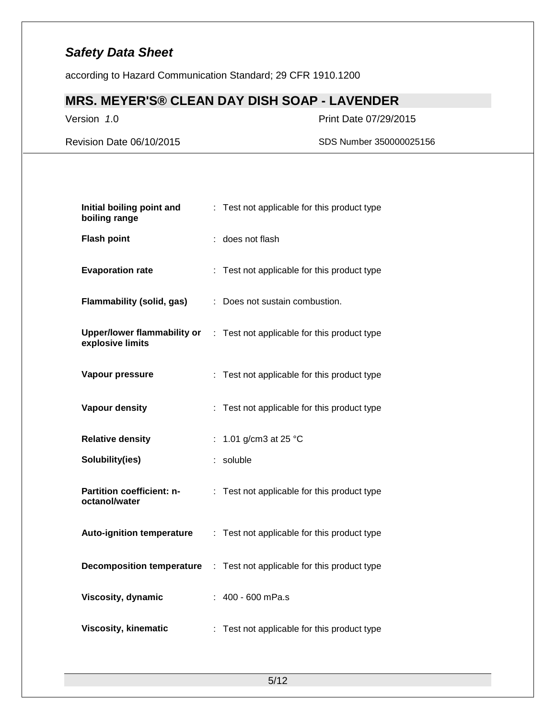according to Hazard Communication Standard; 29 CFR 1910.1200

# **MRS. MEYER'S® CLEAN DAY DISH SOAP - LAVENDER**

Version *1*.0 Print Date 07/29/2015

Revision Date 06/10/2015 SDS Number 350000025156

| Initial boiling point and<br>boiling range             |    | Test not applicable for this product type   |
|--------------------------------------------------------|----|---------------------------------------------|
| <b>Flash point</b>                                     |    | does not flash                              |
| <b>Evaporation rate</b>                                |    | : Test not applicable for this product type |
| <b>Flammability (solid, gas)</b>                       | ÷. | Does not sustain combustion.                |
| <b>Upper/lower flammability or</b><br>explosive limits |    | : Test not applicable for this product type |
| Vapour pressure                                        |    | : Test not applicable for this product type |
| <b>Vapour density</b>                                  |    | : Test not applicable for this product type |
|                                                        |    |                                             |
| <b>Relative density</b>                                | ÷. | 1.01 g/cm3 at 25 °C                         |
| Solubility(ies)                                        |    | soluble                                     |
| Partition coefficient: n-<br>octanol/water             |    | : Test not applicable for this product type |
| <b>Auto-ignition temperature</b>                       |    | : Test not applicable for this product type |
| <b>Decomposition temperature</b>                       | t. | Test not applicable for this product type   |
| Viscosity, dynamic                                     |    | 400 - 600 mPa.s                             |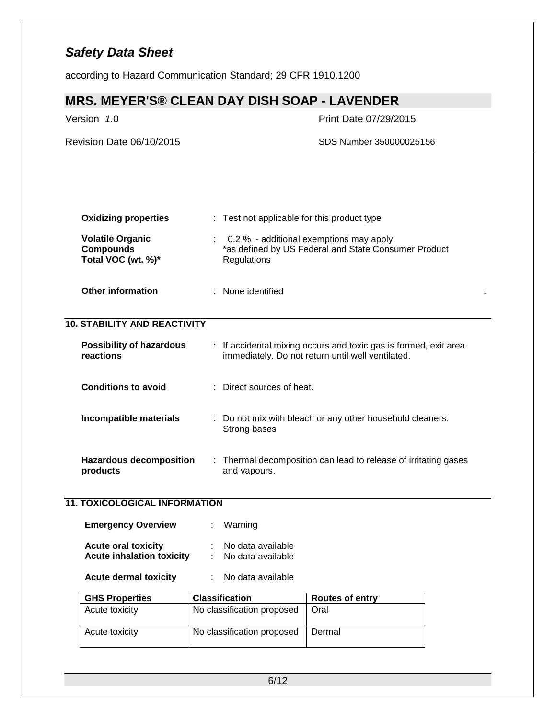according to Hazard Communication Standard; 29 CFR 1910.1200

# **MRS. MEYER'S® CLEAN DAY DISH SOAP - LAVENDER**

### Version *1*.0 Print Date 07/29/2015

Revision Date 06/10/2015 SDS Number 350000025156

| <b>Oxidizing properties</b>                                       | : Test not applicable for this product type |                                                                                                                       |  |
|-------------------------------------------------------------------|---------------------------------------------|-----------------------------------------------------------------------------------------------------------------------|--|
| <b>Volatile Organic</b><br><b>Compounds</b><br>Total VOC (wt. %)* | Regulations                                 | 0.2 % - additional exemptions may apply<br>*as defined by US Federal and State Consumer Product                       |  |
| <b>Other information</b>                                          | : None identified                           |                                                                                                                       |  |
| <b>10. STABILITY AND REACTIVITY</b>                               |                                             |                                                                                                                       |  |
| <b>Possibility of hazardous</b><br><b>reactions</b>               |                                             | : If accidental mixing occurs and toxic gas is formed, exit area<br>immediately. Do not return until well ventilated. |  |
| <b>Conditions to avoid</b>                                        | Direct sources of heat.                     |                                                                                                                       |  |
| Incompatible materials                                            | Strong bases                                | Do not mix with bleach or any other household cleaners.                                                               |  |
| <b>Hazardous decomposition</b><br>products                        | and vapours.                                | : Thermal decomposition can lead to release of irritating gases                                                       |  |
| <b>11. TOXICOLOGICAL INFORMATION</b>                              |                                             |                                                                                                                       |  |
| <b>Emergency Overview</b>                                         | Warning                                     |                                                                                                                       |  |
| <b>Acute oral toxicity</b><br><b>Acute inhalation toxicity</b>    | No data available<br>No data available      |                                                                                                                       |  |
| <b>Acute dermal toxicity</b>                                      | No data available                           |                                                                                                                       |  |
| <b>GHS Properties</b>                                             | <b>Classification</b>                       | <b>Routes of entry</b>                                                                                                |  |
| Acute toxicity                                                    | No classification proposed                  | Oral                                                                                                                  |  |
|                                                                   |                                             |                                                                                                                       |  |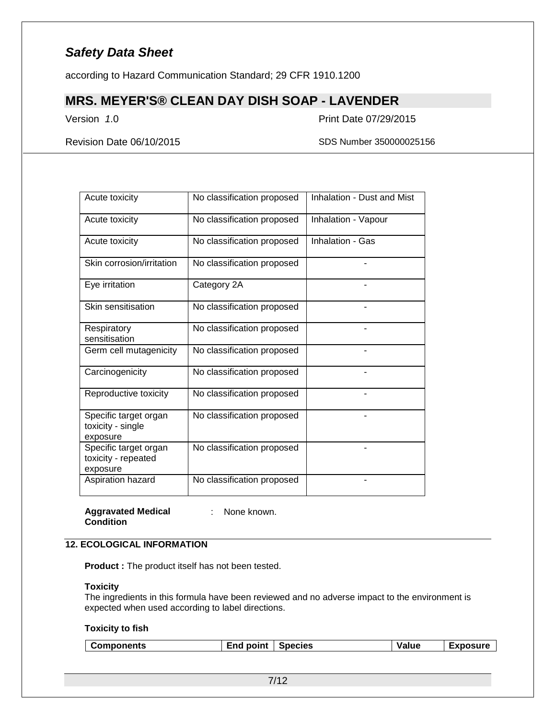according to Hazard Communication Standard; 29 CFR 1910.1200

## **MRS. MEYER'S® CLEAN DAY DISH SOAP - LAVENDER**

Version *1*.0 Print Date 07/29/2015

Revision Date 06/10/2015 SDS Number 350000025156

| Acute toxicity                                           | No classification proposed | Inhalation - Dust and Mist |
|----------------------------------------------------------|----------------------------|----------------------------|
| Acute toxicity                                           | No classification proposed | Inhalation - Vapour        |
| Acute toxicity                                           | No classification proposed | Inhalation - Gas           |
| Skin corrosion/irritation                                | No classification proposed |                            |
| Eye irritation                                           | Category 2A                |                            |
| Skin sensitisation                                       | No classification proposed |                            |
| Respiratory<br>sensitisation                             | No classification proposed |                            |
| Germ cell mutagenicity                                   | No classification proposed |                            |
| Carcinogenicity                                          | No classification proposed |                            |
| Reproductive toxicity                                    | No classification proposed |                            |
| Specific target organ<br>toxicity - single<br>exposure   | No classification proposed |                            |
| Specific target organ<br>toxicity - repeated<br>exposure | No classification proposed |                            |
| Aspiration hazard                                        | No classification proposed |                            |

**Aggravated Medical Condition**

: None known.

### **12. ECOLOGICAL INFORMATION**

**Product :** The product itself has not been tested.

#### **Toxicity**

The ingredients in this formula have been reviewed and no adverse impact to the environment is expected when used according to label directions.

#### **Toxicity to fish**

|  | <b>Components</b> | .<br>point<br>=na | <b>Species</b> | alue/ | TYNACIIra<br>. |
|--|-------------------|-------------------|----------------|-------|----------------|
|--|-------------------|-------------------|----------------|-------|----------------|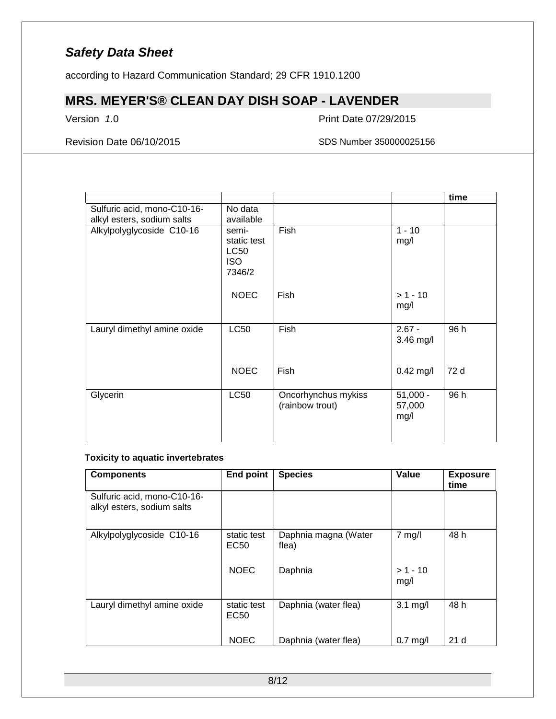according to Hazard Communication Standard; 29 CFR 1910.1200

# **MRS. MEYER'S® CLEAN DAY DISH SOAP - LAVENDER**

Version *1*.0 Print Date 07/29/2015

Revision Date 06/10/2015 SDS Number 350000025156

|                                                           |                                                             |                                        |                              | time |
|-----------------------------------------------------------|-------------------------------------------------------------|----------------------------------------|------------------------------|------|
| Sulfuric acid, mono-C10-16-<br>alkyl esters, sodium salts | No data<br>available                                        |                                        |                              |      |
| Alkylpolyglycoside C10-16                                 | semi-<br>static test<br><b>LC50</b><br><b>ISO</b><br>7346/2 | Fish                                   | $1 - 10$<br>mg/l             |      |
|                                                           | <b>NOEC</b>                                                 | Fish                                   | $> 1 - 10$<br>mg/l           |      |
| Lauryl dimethyl amine oxide                               | <b>LC50</b>                                                 | Fish                                   | $2.67 -$<br>3.46 mg/l        | 96 h |
|                                                           | <b>NOEC</b>                                                 | Fish                                   | $0.42$ mg/l                  | 72 d |
| Glycerin                                                  | <b>LC50</b>                                                 | Oncorhynchus mykiss<br>(rainbow trout) | $51,000 -$<br>57,000<br>mg/l | 96 h |

#### **Toxicity to aquatic invertebrates**

| <b>Components</b>                                         | <b>End point</b>    | <b>Species</b>                | Value              | <b>Exposure</b><br>time |
|-----------------------------------------------------------|---------------------|-------------------------------|--------------------|-------------------------|
| Sulfuric acid, mono-C10-16-<br>alkyl esters, sodium salts |                     |                               |                    |                         |
| Alkylpolyglycoside C10-16                                 | static test<br>EC50 | Daphnia magna (Water<br>flea) | $7$ mg/l           | 48 h                    |
|                                                           | <b>NOEC</b>         | Daphnia                       | $> 1 - 10$<br>mg/l |                         |
| Lauryl dimethyl amine oxide                               | static test<br>EC50 | Daphnia (water flea)          | $3.1 \text{ mg/l}$ | 48 h                    |
|                                                           | <b>NOEC</b>         | Daphnia (water flea)          | $0.7$ mg/l         | 21 <sub>d</sub>         |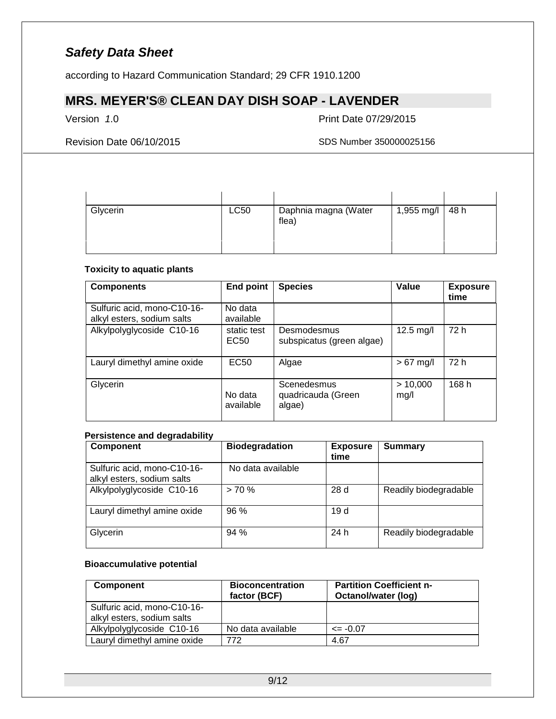according to Hazard Communication Standard; 29 CFR 1910.1200

# **MRS. MEYER'S® CLEAN DAY DISH SOAP - LAVENDER**

Version *1*.0 Print Date 07/29/2015

Revision Date 06/10/2015 SDS Number 350000025156

| Glycerin | <b>LC50</b> | Daphnia magna (Water<br>flea) | 1,955 mg/l $\vert$ 48 h |  |
|----------|-------------|-------------------------------|-------------------------|--|

### **Toxicity to aquatic plants**

| <b>Components</b>                                         | <b>End point</b>                | <b>Species</b>                              | Value            | <b>Exposure</b><br>time |
|-----------------------------------------------------------|---------------------------------|---------------------------------------------|------------------|-------------------------|
| Sulfuric acid, mono-C10-16-<br>alkyl esters, sodium salts | No data<br>available            |                                             |                  |                         |
| Alkylpolyglycoside C10-16                                 | static test<br>EC <sub>50</sub> | Desmodesmus<br>subspicatus (green algae)    | 12.5 mg/l        | 72 h                    |
| Lauryl dimethyl amine oxide                               | <b>EC50</b>                     | Algae                                       | $>67$ mg/l       | 72 h                    |
| Glycerin                                                  | No data<br>available            | Scenedesmus<br>quadricauda (Green<br>algae) | > 10,000<br>mg/l | 168 h                   |

### **Persistence and degradability**

| <b>Component</b>                                          | <b>Biodegradation</b> | <b>Exposure</b><br>time | <b>Summary</b>        |
|-----------------------------------------------------------|-----------------------|-------------------------|-----------------------|
| Sulfuric acid, mono-C10-16-<br>alkyl esters, sodium salts | No data available     |                         |                       |
| Alkylpolyglycoside C10-16                                 | > 70%                 | 28d                     | Readily biodegradable |
| Lauryl dimethyl amine oxide                               | 96%                   | 19 d                    |                       |
| Glycerin                                                  | 94 %                  | 24 h                    | Readily biodegradable |

#### **Bioaccumulative potential**

| <b>Component</b>                                          | <b>Bioconcentration</b><br>factor (BCF) | <b>Partition Coefficient n-</b><br>Octanol/water (log) |
|-----------------------------------------------------------|-----------------------------------------|--------------------------------------------------------|
| Sulfuric acid, mono-C10-16-<br>alkyl esters, sodium salts |                                         |                                                        |
| Alkylpolyglycoside C10-16                                 | No data available                       | $\leq$ -0.07                                           |
| Lauryl dimethyl amine oxide                               | 772                                     | 4.67                                                   |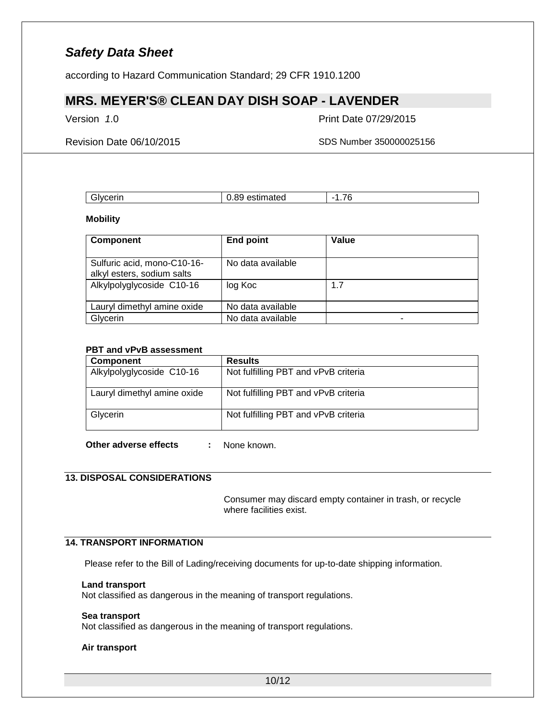according to Hazard Communication Standard; 29 CFR 1910.1200

### **MRS. MEYER'S® CLEAN DAY DISH SOAP - LAVENDER**

Version *1*.0 Print Date 07/29/2015

Revision Date 06/10/2015 SDS Number 350000025156

| `Ivcerin<br>$-1$ V | oc<br>estimated<br>00<br>. | --<br>-<br>. . |
|--------------------|----------------------------|----------------|
|                    |                            |                |

**Mobility**

| <b>Component</b>                                          | <b>End point</b>  | Value |
|-----------------------------------------------------------|-------------------|-------|
| Sulfuric acid, mono-C10-16-<br>alkyl esters, sodium salts | No data available |       |
| Alkylpolyglycoside C10-16                                 | log Koc           | 1.7   |
| Lauryl dimethyl amine oxide                               | No data available |       |
| Glycerin                                                  | No data available | -     |

#### **PBT and vPvB assessment**

| Component                   | <b>Results</b>                       |
|-----------------------------|--------------------------------------|
| Alkylpolyglycoside C10-16   | Not fulfilling PBT and vPvB criteria |
| Lauryl dimethyl amine oxide | Not fulfilling PBT and vPvB criteria |
| Glycerin                    | Not fulfilling PBT and vPvB criteria |

**Other adverse effects :** None known.

#### **13. DISPOSAL CONSIDERATIONS**

Consumer may discard empty container in trash, or recycle where facilities exist.

### **14. TRANSPORT INFORMATION**

Please refer to the Bill of Lading/receiving documents for up-to-date shipping information.

#### **Land transport**

Not classified as dangerous in the meaning of transport regulations.

#### **Sea transport**

Not classified as dangerous in the meaning of transport regulations.

#### **Air transport**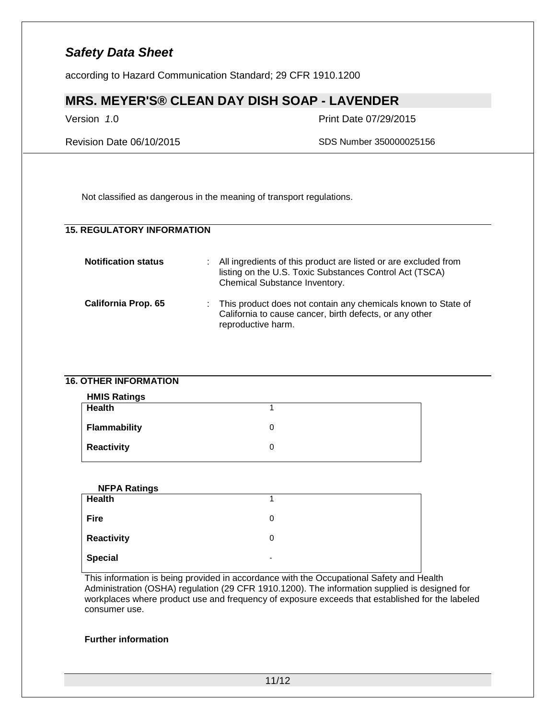according to Hazard Communication Standard; 29 CFR 1910.1200

## **MRS. MEYER'S® CLEAN DAY DISH SOAP - LAVENDER**

Version *1*.0 Print Date 07/29/2015

Revision Date 06/10/2015 SDS Number 350000025156

Not classified as dangerous in the meaning of transport regulations.

### **15. REGULATORY INFORMATION**

| <b>Notification status</b> | : All ingredients of this product are listed or are excluded from<br>listing on the U.S. Toxic Substances Control Act (TSCA)<br>Chemical Substance Inventory. |
|----------------------------|---------------------------------------------------------------------------------------------------------------------------------------------------------------|
| <b>California Prop. 65</b> | : This product does not contain any chemicals known to State of<br>California to cause cancer, birth defects, or any other<br>reproductive harm.              |

### **16. OTHER INFORMATION**

| <b>HMIS Ratings</b> |  |
|---------------------|--|
| Health              |  |
| Flammability        |  |
| <b>Reactivity</b>   |  |

| <b>NFPA Ratings</b> |                          |
|---------------------|--------------------------|
| <b>Health</b>       |                          |
| <b>Fire</b>         | 0                        |
| Reactivity          | 0                        |
| <b>Special</b>      | $\overline{\phantom{0}}$ |

This information is being provided in accordance with the Occupational Safety and Health Administration (OSHA) regulation (29 CFR 1910.1200). The information supplied is designed for workplaces where product use and frequency of exposure exceeds that established for the labeled consumer use.

### **Further information**